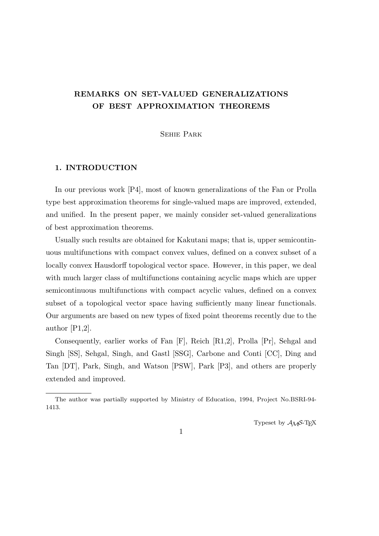# **REMARKS ON SET-VALUED GENERALIZATIONS OF BEST APPROXIMATION THEOREMS**

Sehie Park

# **1. INTRODUCTION**

In our previous work [P4], most of known generalizations of the Fan or Prolla type best approximation theorems for single-valued maps are improved, extended, and unified. In the present paper, we mainly consider set-valued generalizations of best approximation theorems.

Usually such results are obtained for Kakutani maps; that is, upper semicontinuous multifunctions with compact convex values, defined on a convex subset of a locally convex Hausdorff topological vector space. However, in this paper, we deal with much larger class of multifunctions containing acyclic maps which are upper semicontinuous multifunctions with compact acyclic values, defined on a convex subset of a topological vector space having sufficiently many linear functionals. Our arguments are based on new types of fixed point theorems recently due to the author [P1,2].

Consequently, earlier works of Fan [F], Reich [R1,2], Prolla [Pr], Sehgal and Singh [SS], Sehgal, Singh, and Gastl [SSG], Carbone and Conti [CC], Ding and Tan [DT], Park, Singh, and Watson [PSW], Park [P3], and others are properly extended and improved.

Typeset by  $A_{\mathcal{M}}S$ -T<sub>E</sub>X

The author was partially supported by Ministry of Education, 1994, Project No.BSRI-94- 1413.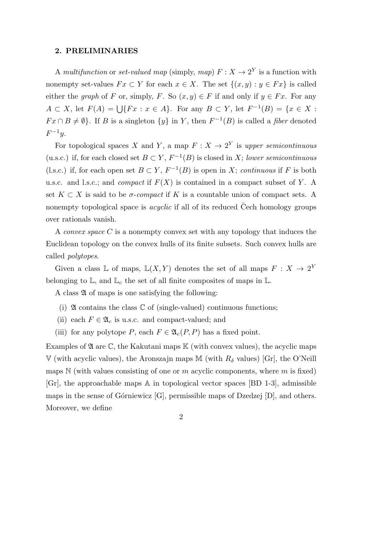#### **2. PRELIMINARIES**

A *multifunction* or *set-valued map* (simply, *map*)  $F: X \to 2^Y$  is a function with nonempty set-values  $Fx \subset Y$  for each  $x \in X$ . The set  $\{(x, y) : y \in Fx\}$  is called either the *graph* of *F* or, simply, *F*. So  $(x, y) \in F$  if and only if  $y \in Fx$ . For any *A* ⊂ *X*, let  $F(A) = \bigcup \{Fx : x \in A\}$ . For any  $B \subset Y$ , let  $F^{-1}(B) = \{x \in X : x \in A\}$ .  $Fx \cap B \neq \emptyset$ . If *B* is a singleton  $\{y\}$  in *Y*, then  $F^{-1}(B)$  is called a *fiber* denoted *F −*1 *y*.

For topological spaces *X* and *Y*, a map  $F: X \to 2^Y$  is upper semicontinuous (u.s.c.) if, for each closed set  $B \subset Y$ ,  $F^{-1}(B)$  is closed in *X*; *lower semicontinuous* (l.s.c.) if, for each open set  $B \subset Y$ ,  $F^{-1}(B)$  is open in *X*; *continuous* if *F* is both u.s.c. and l.s.c.; and *compact* if *F*(*X*) is contained in a compact subset of *Y* . A set  $K \subset X$  is said to be *σ*-*compact* if K is a countable union of compact sets. A nonempty topological space is *acyclic* if all of its reduced Cech homology groups over rationals vanish.

A *convex space C* is a nonempty convex set with any topology that induces the Euclidean topology on the convex hulls of its finite subsets. Such convex hulls are called *polytopes*.

Given a class  $\mathbb{L}$  of maps,  $\mathbb{L}(X, Y)$  denotes the set of all maps  $F: X \to 2^Y$ belonging to  $\mathbb{L}$ , and  $\mathbb{L}_c$  the set of all finite composites of maps in  $\mathbb{L}$ .

A class  $\mathfrak A$  of maps is one satisfying the following:

- (i)  $\mathfrak A$  contains the class  $\mathbb C$  of (single-valued) continuous functions;
- (ii) each  $F \in \mathfrak{A}_c$  is u.s.c. and compact-valued; and
- (iii) for any polytope *P*, each  $F \in \mathfrak{A}_{c}(P, P)$  has a fixed point.

Examples of  $\mathfrak A$  are  $\mathbb C$ , the Kakutani maps  $\mathbb K$  (with convex values), the acyclic maps V (with acyclic values), the Aronszajn maps M (with  $R_\delta$  values) [Gr], the O'Neill maps  $\mathbb N$  (with values consisting of one or  $m$  acyclic components, where  $m$  is fixed)  $[Gr]$ , the approachable maps  $\mathbb A$  in topological vector spaces  $[BD 1-3]$ , admissible maps in the sense of Górniewicz  $[G]$ , permissible maps of Dzedzej  $[D]$ , and others. Moreover, we define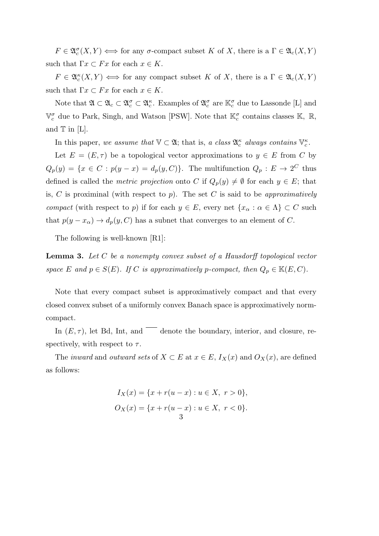$F \in \mathfrak{A}_c^{\sigma}(X, Y) \iff \text{for any } \sigma\text{-compact subset } K \text{ of } X, \text{ there is a } \Gamma \in \mathfrak{A}_c(X, Y)$ such that  $\Gamma x \subset F x$  for each  $x \in K$ .

 $F \in \mathfrak{A}_c^{\kappa}(X, Y) \iff \text{for any compact subset } K \text{ of } X, \text{ there is a } \Gamma \in \mathfrak{A}_c(X, Y)$ such that  $\Gamma x \subset F x$  for each  $x \in K$ .

Note that  $\mathfrak{A} \subset \mathfrak{A}_c \subset \mathfrak{A}_c^{\sigma} \subset \mathfrak{A}_c^{\kappa}$ . Examples of  $\mathfrak{A}_c^{\sigma}$  are  $\mathbb{K}_c^{\sigma}$  due to Lassonde [L] and  $\mathbb{V}_c^{\sigma}$  due to Park, Singh, and Watson [PSW]. Note that  $\mathbb{K}_c^{\sigma}$  contains classes  $\mathbb{K}$ ,  $\mathbb{R}$ , and  $T$  in [L].

In this paper, *we assume that*  $\mathbb{V} \subset \mathfrak{A}$ ; that is, *a class*  $\mathfrak{A}_{c}^{\kappa}$  *always contains*  $\mathbb{V}_{c}^{\kappa}$ .

Let  $E = (E, \tau)$  be a topological vector approximations to  $y \in E$  from C by  $Q_p(y) = \{x \in C : p(y-x) = d_p(y, C)\}.$  The multifunction  $Q_p: E \to 2^C$  thus defined is called the *metric projection* onto *C* if  $Q_p(y) \neq \emptyset$  for each  $y \in E$ ; that is, *C* is proximinal (with respect to *p*). The set *C* is said to be *approximatively compact* (with respect to *p*) if for each  $y \in E$ , every net  $\{x_\alpha : \alpha \in \Lambda\} \subset C$  such that  $p(y - x_{\alpha}) \rightarrow d_p(y, C)$  has a subnet that converges to an element of *C*.

The following is well-known [R1]:

**Lemma 3.** *Let C be a nonempty convex subset of a Hausdorff topological vector space E* and  $p \in S(E)$ *. If C is approximatively p*-compact, then  $Q_p \in \mathbb{K}(E, C)$ *.* 

Note that every compact subset is approximatively compact and that every closed convex subset of a uniformly convex Banach space is approximatively normcompact.

In  $(E, \tau)$ , let Bd, Int, and  $\tau$  denote the boundary, interior, and closure, respectively, with respect to  $\tau$ .

The *inward* and *outward sets* of  $X \subset E$  at  $x \in E$ ,  $I_X(x)$  and  $O_X(x)$ , are defined as follows:

$$
I_X(x) = \{x + r(u - x) : u \in X, r > 0\},\,
$$
  

$$
O_X(x) = \{x + r(u - x) : u \in X, r < 0\}.
$$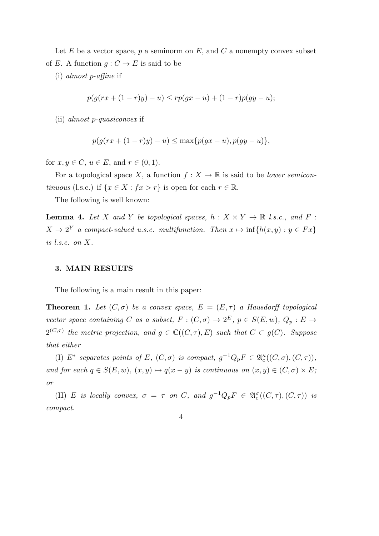Let *E* be a vector space, *p* a seminorm on *E*, and *C* a nonempty convex subset of *E*. A function  $g: C \to E$  is said to be

(i) *almost p*-*affine* if

$$
p(g(rx + (1 - r)y) - u) \leq rp(gx - u) + (1 - r)p(gy - u);
$$

(ii) *almost p*-*quasiconvex* if

$$
p(g(rx + (1 - r)y) - u) \le \max\{p(gx - u), p(gy - u)\},\
$$

for  $x, y \in C$ ,  $u \in E$ , and  $r \in (0, 1)$ .

For a topological space *X*, a function  $f: X \to \mathbb{R}$  is said to be *lower semicontinuous* (l.s.c.) if  $\{x \in X : fx > r\}$  is open for each  $r \in \mathbb{R}$ .

The following is well known:

**Lemma 4.** Let *X* and *Y* be topological spaces,  $h: X \times Y \to \mathbb{R}$  *l.s.c., and F* :  $X \to 2^Y$  *a compact-valued u.s.c. multifunction. Then*  $x \mapsto \inf\{h(x, y) : y \in Fx\}$ *is l.s.c. on X.*

# **3. MAIN RESULTS**

The following is a main result in this paper:

**Theorem 1.** Let  $(C, \sigma)$  be a convex space,  $E = (E, \tau)$  a Hausdorff topological *vector space containing C as a subset,*  $F: (C, \sigma) \to 2^E$ ,  $p \in S(E, w)$ ,  $Q_p: E \to$  $2^{(C,\tau)}$  the metric projection, and  $g \in \mathbb{C}((C,\tau),E)$  such that  $C \subset g(C)$ . Suppose *that either*

(I)  $E^*$  separates points of  $E$ *,*  $(C, \sigma)$  is compact,  $g^{-1}Q_pF \in \mathfrak{A}_c^{\kappa}((C, \sigma), (C, \tau))$ *, and for each*  $q \in S(E, w)$ *,*  $(x, y) \mapsto q(x - y)$  *is continuous on*  $(x, y) \in (C, \sigma) \times E$ ; *or*

(II) *E is locally convex,*  $\sigma = \tau$  *on C,* and  $g^{-1}Q_pF \in \mathfrak{A}_c^{\sigma}((C,\tau),(C,\tau))$  *is compact.*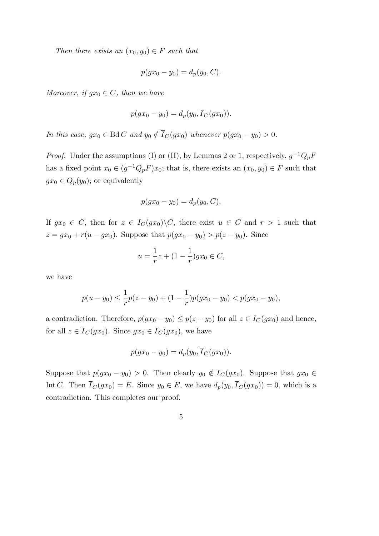*Then there exists an*  $(x_0, y_0) \in F$  *such that* 

$$
p(gx_0 - y_0) = d_p(y_0, C).
$$

*Moreover, if*  $gx_0 \in C$ *, then we have* 

$$
p(gx_0 - y_0) = d_p(y_0, \overline{I}_C(gx_0)).
$$

*In this case,*  $gx_0 \in \text{Bd} C$  *and*  $y_0 \notin \overline{I}_C(gx_0)$  *whenever*  $p(gx_0 - y_0) > 0$ *.* 

*Proof.* Under the assumptions (I) or (II), by Lemmas 2 or 1, respectively,  $g^{-1}Q_pF$ has a fixed point  $x_0 \in (g^{-1}Q_pF)x_0$ ; that is, there exists an  $(x_0, y_0) \in F$  such that  $gx_0 \in Q_p(y_0)$ ; or equivalently

$$
p(gx_0 - y_0) = d_p(y_0, C).
$$

If  $gx_0 \in C$ , then for  $z \in I_C(gx_0) \backslash C$ , there exist  $u \in C$  and  $r > 1$  such that  $z = gx_0 + r(u - gx_0)$ . Suppose that  $p(gx_0 - y_0) > p(z - y_0)$ . Since

$$
u = \frac{1}{r}z + (1 - \frac{1}{r})gx_0 \in C,
$$

we have

$$
p(u - y_0) \le \frac{1}{r}p(z - y_0) + (1 - \frac{1}{r})p(gx_0 - y_0) < p(gx_0 - y_0),
$$

a contradiction. Therefore,  $p(gx_0 - y_0) \leq p(z - y_0)$  for all  $z \in I_C(gx_0)$  and hence, for all  $z \in \overline{I}_C(gx_0)$ . Since  $gx_0 \in \overline{I}_C(gx_0)$ , we have

$$
p(gx_0 - y_0) = d_p(y_0, \overline{I}_C(gx_0)).
$$

Suppose that  $p(gx_0 - y_0) > 0$ . Then clearly  $y_0 \notin \overline{I}_C(gx_0)$ . Suppose that  $gx_0 \in$ Int *C*. Then  $\overline{I}_C(gx_0) = E$ . Since  $y_0 \in E$ , we have  $d_p(y_0, \overline{I}_C(gx_0)) = 0$ , which is a contradiction. This completes our proof.

$$
\overline{5}
$$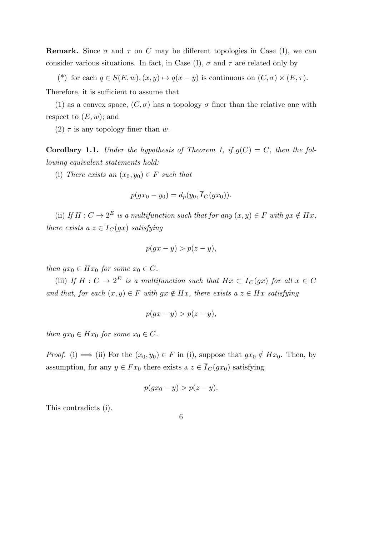**Remark.** Since  $\sigma$  and  $\tau$  on C may be different topologies in Case (I), we can consider various situations. In fact, in Case (I),  $\sigma$  and  $\tau$  are related only by

(\*) for each  $q \in S(E, w), (x, y) \mapsto q(x - y)$  is continuous on  $(C, \sigma) \times (E, \tau)$ .

Therefore, it is sufficient to assume that

(1) as a convex space,  $(C, \sigma)$  has a topology  $\sigma$  finer than the relative one with respect to  $(E, w)$ ; and

(2)  $\tau$  is any topology finer than *w*.

**Corollary 1.1.** *Under the hypothesis of Theorem 1, if*  $q(C) = C$ *, then the following equivalent statements hold:*

(i) *There exists an*  $(x_0, y_0) \in F$  *such that* 

$$
p(gx_0 - y_0) = d_p(y_0, \overline{I}_C(gx_0)).
$$

(ii) If  $H: C \to 2^E$  is a multifunction such that for any  $(x, y) \in F$  with  $gx \notin Hx$ , *there exists a*  $z \in \overline{I}_C(gx)$  *satisfying* 

$$
p(gx - y) > p(z - y)
$$

*then*  $gx_0 \in Hx_0$  *for some*  $x_0 \in C$ *.* 

(iii) *If*  $H: C \to 2^E$  *is a multifunction such that*  $Hx \subset \overline{I}_C(gx)$  *for all*  $x \in C$ *and that, for each*  $(x, y) \in F$  *with*  $gx \notin Hx$ *, there exists a*  $z \in Hx$  *satisfying* 

$$
p(gx - y) > p(z - y),
$$

*then*  $gx_0 \in Hx_0$  *for some*  $x_0 \in C$ *.* 

*Proof.* (i)  $\implies$  (ii) For the  $(x_0, y_0) \in F$  in (i), suppose that  $gx_0 \notin Hx_0$ . Then, by assumption, for any  $y \in F x_0$  there exists a  $z \in \overline{I}_C(g x_0)$  satisfying

$$
p(gx_0 - y) > p(z - y).
$$

This contradicts (i).

6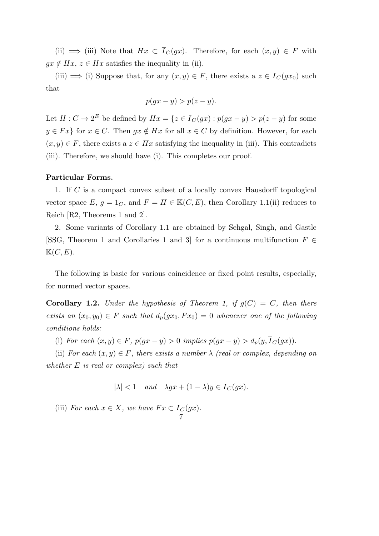(ii)  $\implies$  (iii) Note that  $Hx \subset \overline{I}_C(gx)$ . Therefore, for each  $(x, y) \in F$  with  $gx \notin Hx, z \in Hx$  satisfies the inequality in (ii).

(iii)  $\implies$  (i) Suppose that, for any  $(x, y) \in F$ , there exists a  $z \in \overline{I}_C(gx_0)$  such that

$$
p(gx - y) > p(z - y).
$$

Let  $H: C \to 2^E$  be defined by  $Hx = \{z \in \overline{I}_C(gx) : p(gx - y) > p(z - y) \text{ for some }$ *y* ∈ *Fx*<sup>}</sup> for *x* ∈ *C*. Then *gx* ∉ *Hx* for all *x* ∈ *C* by definition. However, for each  $(x, y) \in F$ , there exists a  $z \in Hx$  satisfying the inequality in (iii). This contradicts (iii). Therefore, we should have (i). This completes our proof.

# **Particular Forms.**

1. If *C* is a compact convex subset of a locally convex Hausdorff topological vector space  $E, g = 1_C$ , and  $F = H \in \mathbb{K}(C, E)$ , then Corollary 1.1(ii) reduces to Reich [R2, Theorems 1 and 2].

2. Some variants of Corollary 1.1 are obtained by Sehgal, Singh, and Gastle [SSG, Theorem 1 and Corollaries 1 and 3] for a continuous multifunction *F ∈*  $\mathbb{K}(C, E).$ 

The following is basic for various coincidence or fixed point results, especially, for normed vector spaces.

**Corollary 1.2.** *Under the hypothesis of Theorem 1, if*  $g(C) = C$ *, then there exists an*  $(x_0, y_0) \in F$  *such that*  $d_p(gx_0, Fx_0) = 0$  *whenever one of the following conditions holds:*

(i) For each  $(x, y) \in F$ ,  $p(gx - y) > 0$  implies  $p(gx - y) > d_p(y, \overline{I}_C(gx))$ .

(ii) *For each*  $(x, y) \in F$ *, there exists a number*  $\lambda$  *(real or complex, depending on whether E is real or complex) such that*

$$
|\lambda| < 1 \quad and \quad \lambda gx + (1 - \lambda)y \in \overline{I}_C(gx).
$$

(iii) *For each*  $x \in X$ *, we have*  $Fx \subset I_C(gx)$ *.* 7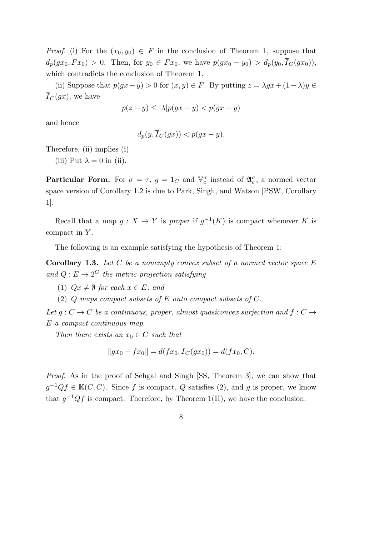*Proof.* (i) For the  $(x_0, y_0) \in F$  in the conclusion of Theorem 1, suppose that  $d_p(gx_0, Fx_0) > 0$ . Then, for  $y_0 \in Fx_0$ , we have  $p(gx_0 - y_0) > d_p(y_0, \overline{I}_C(gx_0))$ , which contradicts the conclusion of Theorem 1.

(ii) Suppose that  $p(gx - y) > 0$  for  $(x, y) \in F$ . By putting  $z = \lambda gx + (1 - \lambda)y \in$  $\overline{I}_C(gx)$ , we have

$$
p(z - y) \le |\lambda| p(gx - y) < p(gx - y)
$$

and hence

$$
d_p(y, I_C(gx)) < p(gx - y).
$$

Therefore, (ii) implies (i).

(iii) Put  $\lambda = 0$  in (ii).

**Particular Form.** For  $\sigma = \tau$ ,  $g = 1_C$  and  $\mathbb{V}_c^{\sigma}$  instead of  $\mathfrak{A}_c^{\sigma}$ , a normed vector space version of Corollary 1.2 is due to Park, Singh, and Watson [PSW, Corollary 1].

Recall that a map  $g: X \to Y$  is *proper* if  $g^{-1}(K)$  is compact whenever K is compact in *Y* .

The following is an example satisfying the hypothesis of Theorem 1:

**Corollary 1.3.** *Let C be a nonempty convex subset of a normed vector space E and*  $Q: E \to 2^C$  *the metric projection satisfying* 

(1)  $Qx \neq \emptyset$  for each  $x \in E$ ; and

(2) *Q maps compact subsets of E onto compact subsets of C.*

*Let*  $g: C \to C$  *be a continuous, proper, almost quasiconvex surjection and*  $f: C \to C$ *E a compact continuous map.*

*Then there exists an*  $x_0 \in C$  *such that* 

$$
||gx_0 - fx_0|| = d(fx_0, I_C(gx_0)) = d(fx_0, C).
$$

*Proof.* As in the proof of Sehgal and Singh [SS, Theorem 3], we can show that  $g^{-1}Qf \in \mathbb{K}(C, C)$ . Since *f* is compact, *Q* satisfies (2), and *g* is proper, we know that  $g^{-1}Qf$  is compact. Therefore, by Theorem 1(II), we have the conclusion.

8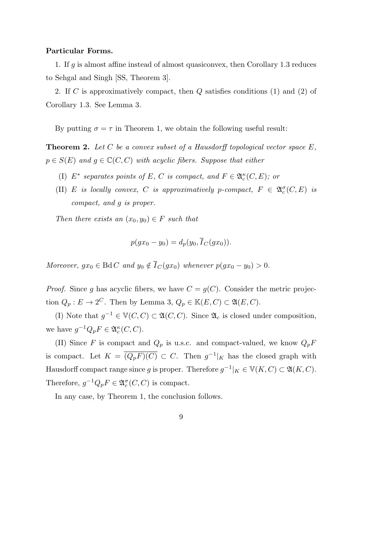#### **Particular Forms.**

1. If *g* is almost affine instead of almost quasiconvex, then Corollary 1.3 reduces to Sehgal and Singh [SS, Theorem 3].

2. If *C* is approximatively compact, then *Q* satisfies conditions (1) and (2) of Corollary 1.3. See Lemma 3.

By putting  $\sigma = \tau$  in Theorem 1, we obtain the following useful result:

**Theorem 2.** *Let C be a convex subset of a Hausdorff topological vector space E,*  $p \in S(E)$  *and*  $g \in \mathbb{C}(C, C)$  *with acyclic fibers. Suppose that either* 

- (I)  $E^*$  separates points of  $E$ ,  $C$  is compact, and  $F \in \mathfrak{A}_c^{\kappa}(C, E)$ ; or
- (II) *E is locally convex, C is approximatively p*-compact,  $F \in \mathfrak{A}_c^{\sigma}(C, E)$  *is compact, and g is proper.*

*Then there exists an*  $(x_0, y_0) \in F$  *such that* 

$$
p(gx_0 - y_0) = d_p(y_0, \overline{I}_C(gx_0)).
$$

*Moreover,*  $gx_0 \in \text{Bd } C$  *and*  $y_0 \notin \overline{I}_C(gx_0)$  *whenever*  $p(gx_0 - y_0) > 0$ *.* 

*Proof.* Since *g* has acyclic fibers, we have  $C = g(C)$ . Consider the metric projection  $Q_p: E \to 2^C$ . Then by Lemma 3,  $Q_p \in \mathbb{K}(E, C) \subset \mathfrak{A}(E, C)$ .

(I) Note that  $g^{-1}$  ∈  $\mathbb{V}(C, C) \subset \mathfrak{A}(C, C)$ . Since  $\mathfrak{A}_c$  is closed under composition, we have  $g^{-1}Q_pF \in \mathfrak{A}_c^{\kappa}(C, C)$ .

(II) Since *F* is compact and  $Q_p$  is u.s.c. and compact-valued, we know  $Q_pF$ is compact. Let  $K = \overline{(Q_p F)(C)} \subset C$ . Then  $g^{-1}|_K$  has the closed graph with Hausdorff compact range since *g* is proper. Therefore  $g^{-1}|_K \in V(K, C) \subset \mathfrak{A}(K, C)$ . Therefore,  $g^{-1}Q_pF \in \mathfrak{A}_c^{\sigma}(C, C)$  is compact.

In any case, by Theorem 1, the conclusion follows.

9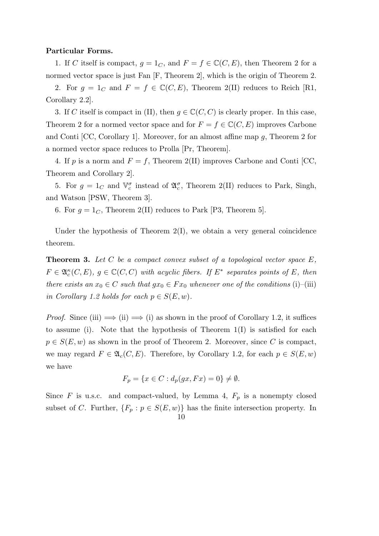#### **Particular Forms.**

1. If *C* itself is compact,  $g = 1_C$ , and  $F = f \in \mathbb{C}(C, E)$ , then Theorem 2 for a normed vector space is just Fan [F, Theorem 2], which is the origin of Theorem 2.

2. For  $g = 1_C$  and  $F = f \in \mathbb{C}(C, E)$ , Theorem 2(II) reduces to Reich [R1, Corollary 2.2].

3. If *C* itself is compact in (II), then  $g \in \mathbb{C}(C, C)$  is clearly proper. In this case, Theorem 2 for a normed vector space and for  $F = f \in \mathbb{C}(C, E)$  improves Carbone and Conti [CC, Corollary 1]. Moreover, for an almost affine map *g*, Theorem 2 for a normed vector space reduces to Prolla [Pr, Theorem].

4. If *p* is a norm and  $F = f$ , Theorem 2(II) improves Carbone and Conti [CC, Theorem and Corollary 2].

5. For  $g = 1_C$  and  $\mathbb{V}_c^{\sigma}$  instead of  $\mathfrak{A}_c^{\sigma}$ , Theorem 2(II) reduces to Park, Singh, and Watson [PSW, Theorem 3].

6. For  $q = 1_C$ , Theorem 2(II) reduces to Park [P3, Theorem 5].

Under the hypothesis of Theorem  $2(I)$ , we obtain a very general coincidence theorem.

**Theorem 3.** *Let C be a compact convex subset of a topological vector space E,*  $F \in \mathfrak{A}_{c}^{\kappa}(C, E), g \in \mathbb{C}(C, C)$  *with acyclic fibers. If*  $E^*$  *separates points of*  $E$ *, then there exists an*  $x_0 \in C$  *such that*  $gx_0 \in Fx_0$  *whenever one of the conditions* (i)–(iii) *in Corollary 1.2 holds for each*  $p \in S(E, w)$ *.* 

*Proof.* Since (iii)  $\implies$  (ii)  $\implies$  (i) as shown in the proof of Corollary 1.2, it suffices to assume (i). Note that the hypothesis of Theorem  $1(I)$  is satisfied for each  $p \in S(E, w)$  as shown in the proof of Theorem 2. Moreover, since *C* is compact, we may regard  $F \in \mathfrak{A}_c(C, E)$ . Therefore, by Corollary 1.2, for each  $p \in S(E, w)$ we have

$$
F_p = \{ x \in C : d_p(gx, Fx) = 0 \} \neq \emptyset.
$$

Since  $F$  is u.s.c. and compact-valued, by Lemma 4,  $F_p$  is a nonempty closed subset of *C*. Further,  ${F_p : p \in S(E, w)}$  has the finite intersection property. In

$$
10\quad
$$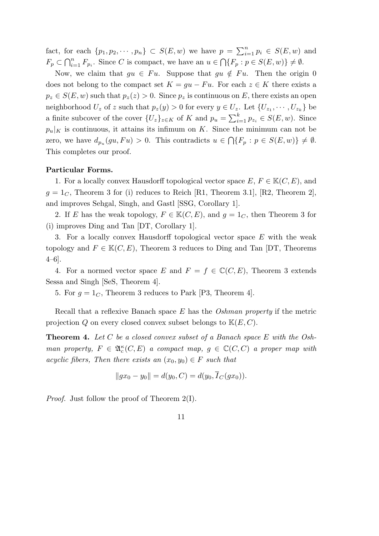fact, for each  $\{p_1, p_2, \cdots, p_n\} \subset S(E, w)$  we have  $p = \sum_{i=1}^n p_i \in S(E, w)$  and  $F_p \subset \bigcap_{i=1}^n F_{p_i}$ . Since *C* is compact, we have an  $u \in \bigcap \{F_p : p \in S(E, w)\} \neq \emptyset$ .

Now, we claim that  $gu \in Fu$ . Suppose that  $gu \notin Fu$ . Then the origin 0 does not belong to the compact set  $K = gu - Fu$ . For each  $z \in K$  there exists a  $p_z \in S(E, w)$  such that  $p_z(z) > 0$ . Since  $p_z$  is continuous on *E*, there exists an open neighborhood  $U_z$  of z such that  $p_z(y) > 0$  for every  $y \in U_z$ . Let  $\{U_{z_1}, \dots, U_{z_k}\}\)$ a finite subcover of the cover  $\{U_z\}_{z \in K}$  of  $K$  and  $p_u = \sum_{i=1}^k p_{z_i} \in S(E, w)$ . Since  $p_u|_K$  is continuous, it attains its infimum on *K*. Since the minimum can not be zero, we have  $d_{p_u}(gu, Fu) > 0$ . This contradicts  $u \in \bigcap \{F_p : p \in S(E, w)\} \neq \emptyset$ . This completes our proof.

### **Particular Forms.**

1. For a locally convex Hausdorff topological vector space  $E, F \in \mathbb{K}(C, E)$ , and  $g = 1<sub>C</sub>$ , Theorem 3 for (i) reduces to Reich [R1, Theorem 3.1], [R2, Theorem 2], and improves Sehgal, Singh, and Gastl [SSG, Corollary 1].

2. If *E* has the weak topology,  $F \in \mathbb{K}(C, E)$ , and  $q = 1<sub>C</sub>$ , then Theorem 3 for (i) improves Ding and Tan [DT, Corollary 1].

3. For a locally convex Hausdorff topological vector space *E* with the weak topology and  $F \in \mathbb{K}(C, E)$ , Theorem 3 reduces to Ding and Tan [DT, Theorems  $4-6$ .

4. For a normed vector space *E* and  $F = f \in \mathbb{C}(C, E)$ , Theorem 3 extends Sessa and Singh [SeS, Theorem 4].

5. For  $g = 1<sub>C</sub>$ , Theorem 3 reduces to Park [P3, Theorem 4].

Recall that a reflexive Banach space *E* has the *Oshman property* if the metric projection *Q* on every closed convex subset belongs to K(*E, C*).

**Theorem 4.** *Let C be a closed convex subset of a Banach space E with the Oshman property,*  $F \in \mathfrak{A}_{c}^{\kappa}(C, E)$  *a compact map,*  $g \in \mathbb{C}(C, C)$  *a proper map with acyclic fibers, Then there exists an*  $(x_0, y_0) \in F$  *such that* 

$$
||gx_0 - y_0|| = d(y_0, C) = d(y_0, \overline{I}_C(gx_0)).
$$

*Proof.* Just follow the proof of Theorem 2(I).

11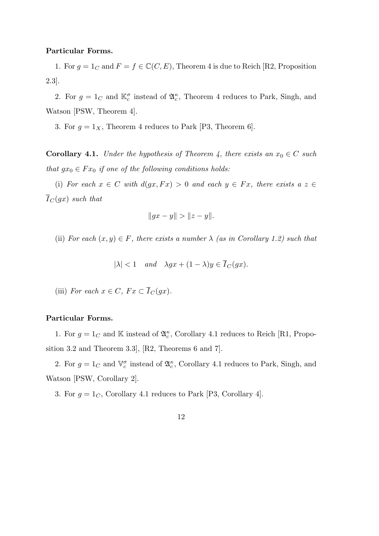### **Particular Forms.**

1. For  $g = 1_C$  and  $F = f \in \mathbb{C}(C, E)$ , Theorem 4 is due to Reich [R2, Proposition 2.3].

2. For  $g = 1_C$  and  $\mathbb{K}_c^{\sigma}$  instead of  $\mathfrak{A}_c^{\kappa}$ , Theorem 4 reduces to Park, Singh, and Watson [PSW, Theorem 4].

3. For  $g = 1_X$ , Theorem 4 reduces to Park [P3, Theorem 6].

**Corollary 4.1.** *Under the hypothesis of Theorem 4, there exists an*  $x_0 \in C$  *such that*  $gx_0 \in Fx_0$  *if one of the following conditions holds:* 

(i) For each  $x \in C$  with  $d(qx, Fx) > 0$  and each  $y \in Fx$ , there exists a  $z \in C$  $\overline{I}_C(gx)$  *such that* 

$$
||gx - y|| > ||z - y||.
$$

(ii) *For each*  $(x, y) \in F$ *, there exists a number*  $\lambda$  *(as in Corollary 1.2) such that* 

$$
|\lambda| < 1 \quad and \quad \lambda gx + (1 - \lambda)y \in \overline{I}_C(gx).
$$

(iii) *For each*  $x \in C$ *,*  $Fx \subset \overline{I}_C(gx)$ *.* 

# **Particular Forms.**

1. For  $g = 1_C$  and K instead of  $\mathfrak{A}_c^{\kappa}$ , Corollary 4.1 reduces to Reich [R1, Proposition 3.2 and Theorem 3.3], [R2, Theorems 6 and 7].

2. For  $g = 1_C$  and  $\mathbb{V}_c^{\sigma}$  instead of  $\mathfrak{A}_c^{\kappa}$ , Corollary 4.1 reduces to Park, Singh, and Watson [PSW, Corollary 2].

3. For  $g = 1<sub>C</sub>$ , Corollary 4.1 reduces to Park [P3, Corollary 4].

12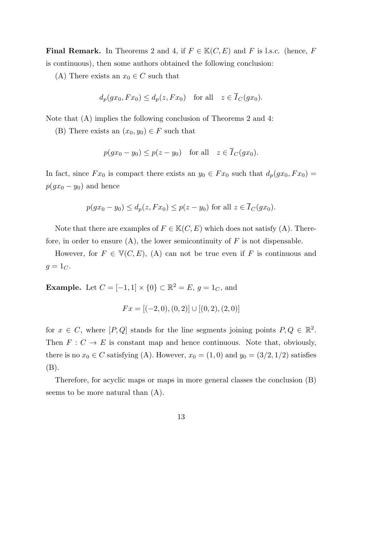**Final Remark.** In Theorems 2 and 4, if  $F \in \mathbb{K}(C, E)$  and *F* is l.s.c. (hence, *F* is continuous), then some authors obtained the following conclusion:

(A) There exists an  $x_0 \in C$  such that

$$
d_p(gx_0, Fx_0) \le d_p(z, Fx_0) \quad \text{for all} \quad z \in \overline{I}_C(gx_0).
$$

Note that (A) implies the following conclusion of Theorems 2 and 4:

(B) There exists an  $(x_0, y_0) \in F$  such that

$$
p(gx_0 - y_0) \le p(z - y_0) \quad \text{for all} \quad z \in \overline{I}_C(gx_0).
$$

In fact, since  $Fx_0$  is compact there exists an  $y_0 \in Fx_0$  such that  $d_p(gx_0, Fx_0)$  $p(gx_0 - y_0)$  and hence

$$
p(gx_0 - y_0) \le d_p(z, Fx_0) \le p(z - y_0)
$$
 for all  $z \in \overline{I}_C(gx_0)$ .

Note that there are examples of  $F \in \mathbb{K}(C, E)$  which does not satisfy (A). Therefore, in order to ensure  $(A)$ , the lower semicontinuity of  $F$  is not dispensable.

However, for  $F \in V(C, E)$ , (A) can not be true even if *F* is continuous and  $g = 1_C$ .

**Example.** Let  $C = [-1, 1] \times \{0\} \subset \mathbb{R}^2 = E$ ,  $g = 1_C$ , and

$$
Fx = [(-2,0), (0,2)] \cup [(0,2), (2,0)]
$$

for  $x \in C$ , where  $[P,Q]$  stands for the line segments joining points  $P,Q \in \mathbb{R}^2$ . Then  $F: C \to E$  is constant map and hence continuous. Note that, obviously, there is no  $x_0 \in C$  satisfying (A). However,  $x_0 = (1, 0)$  and  $y_0 = (3/2, 1/2)$  satisfies (B).

Therefore, for acyclic maps or maps in more general classes the conclusion (B) seems to be more natural than (A).

### 13